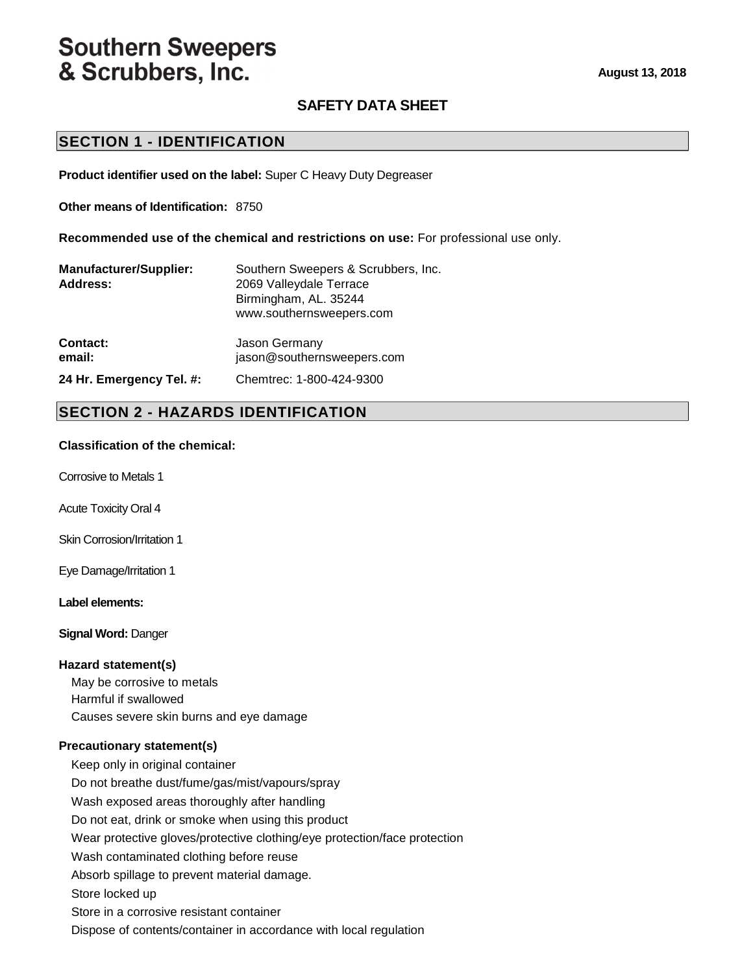# **Southern Sweepers** & Scrubbers, Inc.

# **SAFETY DATA SHEET**

### **SECTION 1 - IDENTIFICATION**

**Product identifier used on the label:** Super C Heavy Duty Degreaser

**Other means of Identification:** 8750

**Recommended use of the chemical and restrictions on use:** For professional use only.

| <b>Manufacturer/Supplier:</b><br>Address: | Southern Sweepers & Scrubbers, Inc.<br>2069 Valleydale Terrace<br>Birmingham, AL. 35244<br>www.southernsweepers.com |
|-------------------------------------------|---------------------------------------------------------------------------------------------------------------------|
| Contact:                                  | Jason Germany                                                                                                       |
| email:                                    | jason@southernsweepers.com                                                                                          |

#### **24 Hr. Emergency Tel. #:** Chemtrec: 1-800-424-9300

### **SECTION 2 - HAZARDS IDENTIFICATION**

#### **Classification of the chemical:**

Corrosive to Metals 1

Acute Toxicity Oral 4

Skin Corrosion/Irritation 1

Eye Damage/Irritation 1

**Label elements:** 

**Signal Word:** Danger

#### **Hazard statement(s)**

May be corrosive to metals Harmful if swallowed Causes severe skin burns and eye damage

#### **Precautionary statement(s)**

Keep only in original container Do not breathe dust/fume/gas/mist/vapours/spray Wash exposed areas thoroughly after handling Do not eat, drink or smoke when using this product Wear protective gloves/protective clothing/eye protection/face protection Wash contaminated clothing before reuse Absorb spillage to prevent material damage. Store locked up Store in a corrosive resistant container Dispose of contents/container in accordance with local regulation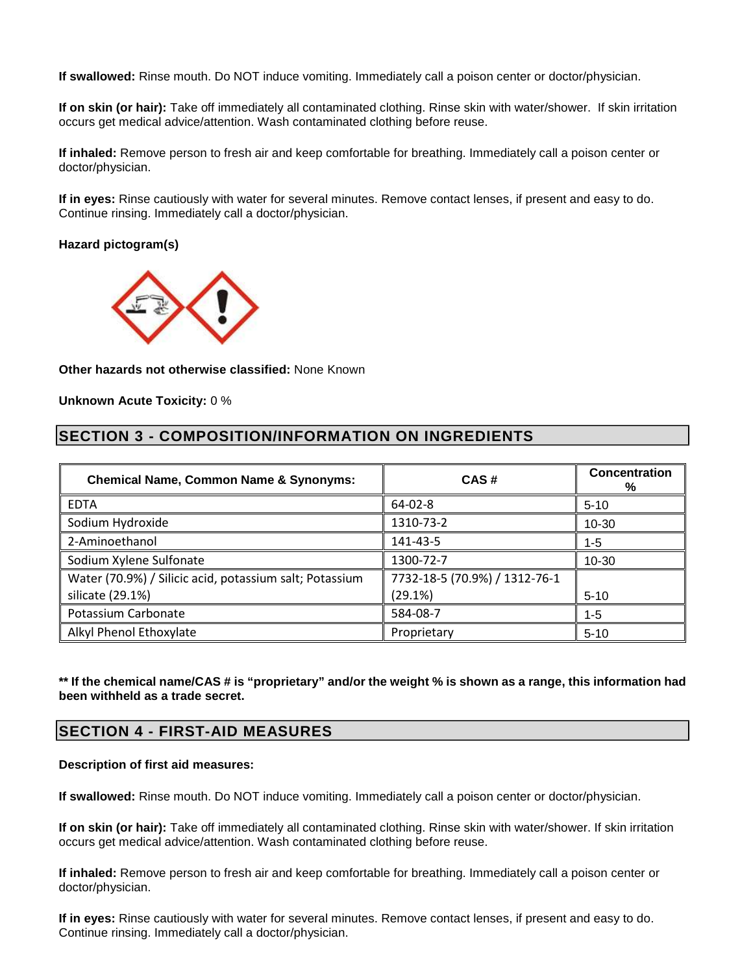**If swallowed:** Rinse mouth. Do NOT induce vomiting. Immediately call a poison center or doctor/physician.

**If on skin (or hair):** Take off immediately all contaminated clothing. Rinse skin with water/shower. If skin irritation occurs get medical advice/attention. Wash contaminated clothing before reuse.

**If inhaled:** Remove person to fresh air and keep comfortable for breathing. Immediately call a poison center or doctor/physician.

**If in eyes:** Rinse cautiously with water for several minutes. Remove contact lenses, if present and easy to do. Continue rinsing. Immediately call a doctor/physician.

#### **Hazard pictogram(s)**



**Other hazards not otherwise classified:** None Known

**Unknown Acute Toxicity:** 0 %

### **SECTION 3 - COMPOSITION/INFORMATION ON INGREDIENTS**

| <b>Chemical Name, Common Name &amp; Synonyms:</b>                           | CAS#                                     | <b>Concentration</b><br>% |
|-----------------------------------------------------------------------------|------------------------------------------|---------------------------|
| <b>EDTA</b>                                                                 | 64-02-8                                  | $5 - 10$                  |
| Sodium Hydroxide                                                            | 1310-73-2                                | $10 - 30$                 |
| 2-Aminoethanol                                                              | 141-43-5                                 | 1-5                       |
| Sodium Xylene Sulfonate                                                     | 1300-72-7                                | 10-30                     |
| Water (70.9%) / Silicic acid, potassium salt; Potassium<br>silicate (29.1%) | 7732-18-5 (70.9%) / 1312-76-1<br>(29.1%) |                           |
|                                                                             |                                          | $5 - 10$                  |
| Potassium Carbonate                                                         | 584-08-7                                 | 1-5                       |
| Alkyl Phenol Ethoxylate                                                     | Proprietary                              | $5 - 10$                  |

**\*\* If the chemical name/CAS # is "proprietary" and/or the weight % is shown as a range, this information had been withheld as a trade secret.** 

### **SECTION 4 - FIRST-AID MEASURES**

#### **Description of first aid measures:**

**If swallowed:** Rinse mouth. Do NOT induce vomiting. Immediately call a poison center or doctor/physician.

**If on skin (or hair):** Take off immediately all contaminated clothing. Rinse skin with water/shower. If skin irritation occurs get medical advice/attention. Wash contaminated clothing before reuse.

**If inhaled:** Remove person to fresh air and keep comfortable for breathing. Immediately call a poison center or doctor/physician.

**If in eyes:** Rinse cautiously with water for several minutes. Remove contact lenses, if present and easy to do. Continue rinsing. Immediately call a doctor/physician.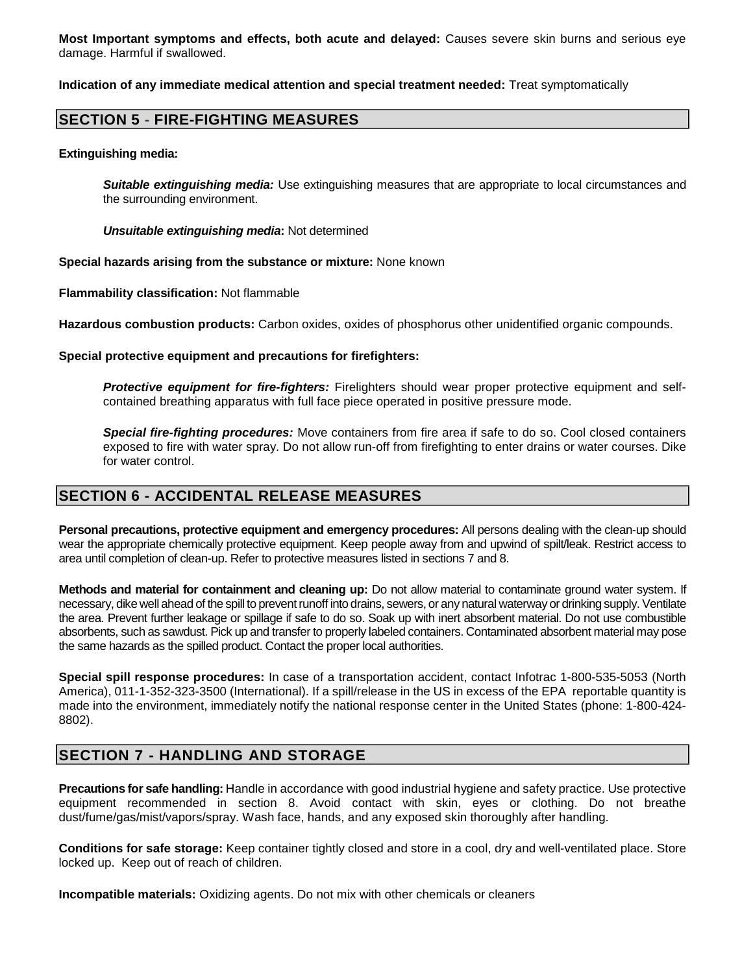**Most Important symptoms and effects, both acute and delayed:** Causes severe skin burns and serious eye damage. Harmful if swallowed.

**Indication of any immediate medical attention and special treatment needed:** Treat symptomatically

### **SECTION 5 - FIRE-FIGHTING MEASURES**

**Extinguishing media:** 

**Suitable extinguishing media:** Use extinguishing measures that are appropriate to local circumstances and the surrounding environment.

**Unsuitable extinguishing media:** Not determined

**Special hazards arising from the substance or mixture:** None known

**Flammability classification:** Not flammable

**Hazardous combustion products:** Carbon oxides, oxides of phosphorus other unidentified organic compounds.

**Special protective equipment and precautions for firefighters:** 

**Protective equipment for fire-fighters:** Firelighters should wear proper protective equipment and selfcontained breathing apparatus with full face piece operated in positive pressure mode.

**Special fire-fighting procedures:** Move containers from fire area if safe to do so. Cool closed containers exposed to fire with water spray. Do not allow run-off from firefighting to enter drains or water courses. Dike for water control.

### **SECTION 6 - ACCIDENTAL RELEASE MEASURES**

**Personal precautions, protective equipment and emergency procedures:** All persons dealing with the clean-up should wear the appropriate chemically protective equipment. Keep people away from and upwind of spilt/leak. Restrict access to area until completion of clean-up. Refer to protective measures listed in sections 7 and 8.

**Methods and material for containment and cleaning up:** Do not allow material to contaminate ground water system. If necessary, dike well ahead of the spill to prevent runoff into drains, sewers, or any natural waterway or drinking supply. Ventilate the area. Prevent further leakage or spillage if safe to do so. Soak up with inert absorbent material. Do not use combustible absorbents, such as sawdust. Pick up and transfer to properly labeled containers. Contaminated absorbent material may pose the same hazards as the spilled product. Contact the proper local authorities.

**Special spill response procedures:** In case of a transportation accident, contact Infotrac 1-800-535-5053 (North America), 011-1-352-323-3500 (International). If a spill/release in the US in excess of the EPA reportable quantity is made into the environment, immediately notify the national response center in the United States (phone: 1-800-424- 8802).

# **SECTION 7 - HANDLING AND STORAGE**

**Precautions for safe handling:** Handle in accordance with good industrial hygiene and safety practice. Use protective equipment recommended in section 8. Avoid contact with skin, eyes or clothing. Do not breathe dust/fume/gas/mist/vapors/spray. Wash face, hands, and any exposed skin thoroughly after handling.

**Conditions for safe storage:** Keep container tightly closed and store in a cool, dry and well-ventilated place. Store locked up. Keep out of reach of children.

**Incompatible materials:** Oxidizing agents. Do not mix with other chemicals or cleaners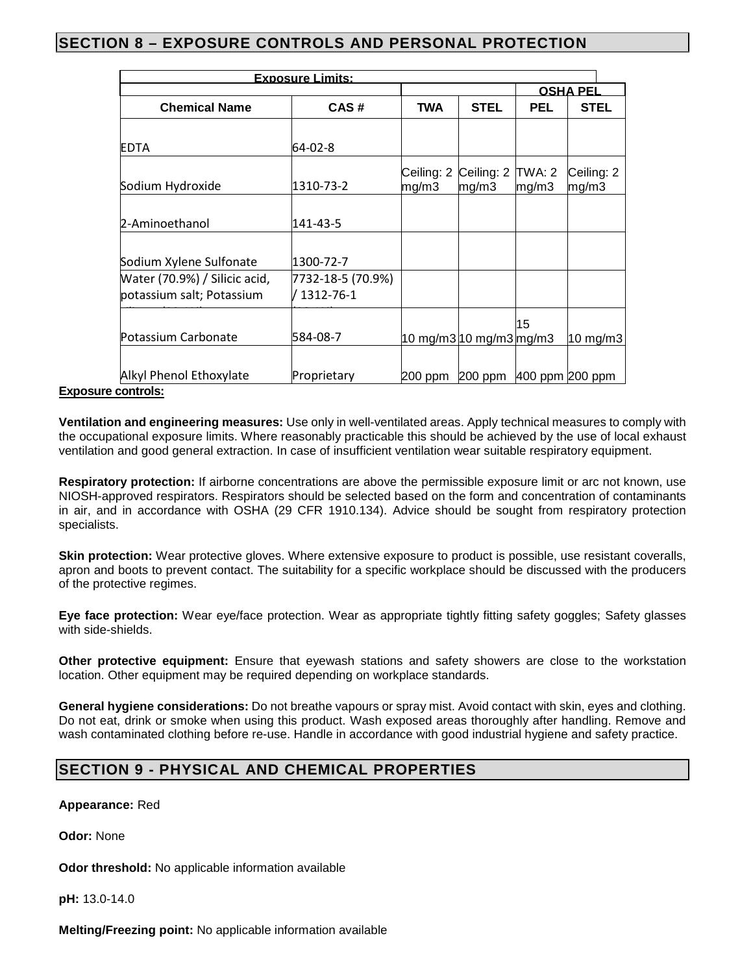# **SECTION 8 – EXPOSURE CONTROLS AND PERSONAL PROTECTION**

| <b>Exposure Limits:</b>       |                   |                     |                         |                 |                     |
|-------------------------------|-------------------|---------------------|-------------------------|-----------------|---------------------|
|                               |                   |                     |                         |                 | <b>OSHA PEL</b>     |
| <b>Chemical Name</b>          | CAS#              | <b>TWA</b>          | <b>STEL</b>             | <b>PEL</b>      | <b>STEL</b>         |
| <b>EDTA</b>                   | 64-02-8           |                     |                         |                 |                     |
| Sodium Hydroxide              | 1310-73-2         | Ceiling: 2<br>mg/m3 | Ceiling: 2<br>mg/m3     | TWA: 2<br>mg/m3 | Ceiling: 2<br>mg/m3 |
| 2-Aminoethanol                | 141-43-5          |                     |                         |                 |                     |
| Sodium Xylene Sulfonate       | 1300-72-7         |                     |                         |                 |                     |
| Water (70.9%) / Silicic acid, | 7732-18-5 (70.9%) |                     |                         |                 |                     |
| potassium salt; Potassium     | / 1312-76-1       |                     |                         |                 |                     |
| Potassium Carbonate           | 584-08-7          |                     | 10 mg/m3 10 mg/m3 mg/m3 | 15              | 10 mg/m $3$         |
| Alkyl Phenol Ethoxylate       | Proprietary       | 200 ppm             | 200 ppm 400 ppm 200 ppm |                 |                     |

#### **Exposure controls:**

**Ventilation and engineering measures:** Use only in well-ventilated areas. Apply technical measures to comply with the occupational exposure limits. Where reasonably practicable this should be achieved by the use of local exhaust ventilation and good general extraction. In case of insufficient ventilation wear suitable respiratory equipment.

**Respiratory protection:** If airborne concentrations are above the permissible exposure limit or arc not known, use NIOSH-approved respirators. Respirators should be selected based on the form and concentration of contaminants in air, and in accordance with OSHA (29 CFR 1910.134). Advice should be sought from respiratory protection specialists.

**Skin protection:** Wear protective gloves. Where extensive exposure to product is possible, use resistant coveralls, apron and boots to prevent contact. The suitability for a specific workplace should be discussed with the producers of the protective regimes.

**Eye face protection:** Wear eye/face protection. Wear as appropriate tightly fitting safety goggles; Safety glasses with side-shields.

**Other protective equipment:** Ensure that eyewash stations and safety showers are close to the workstation location. Other equipment may be required depending on workplace standards.

**General hygiene considerations:** Do not breathe vapours or spray mist. Avoid contact with skin, eyes and clothing. Do not eat, drink or smoke when using this product. Wash exposed areas thoroughly after handling. Remove and wash contaminated clothing before re-use. Handle in accordance with good industrial hygiene and safety practice.

# **SECTION 9 - PHYSICAL AND CHEMICAL PROPERTIES**

**Appearance:** Red

**Odor:** None

**Odor threshold:** No applicable information available

**pH:** 13.0-14.0

**Melting/Freezing point:** No applicable information available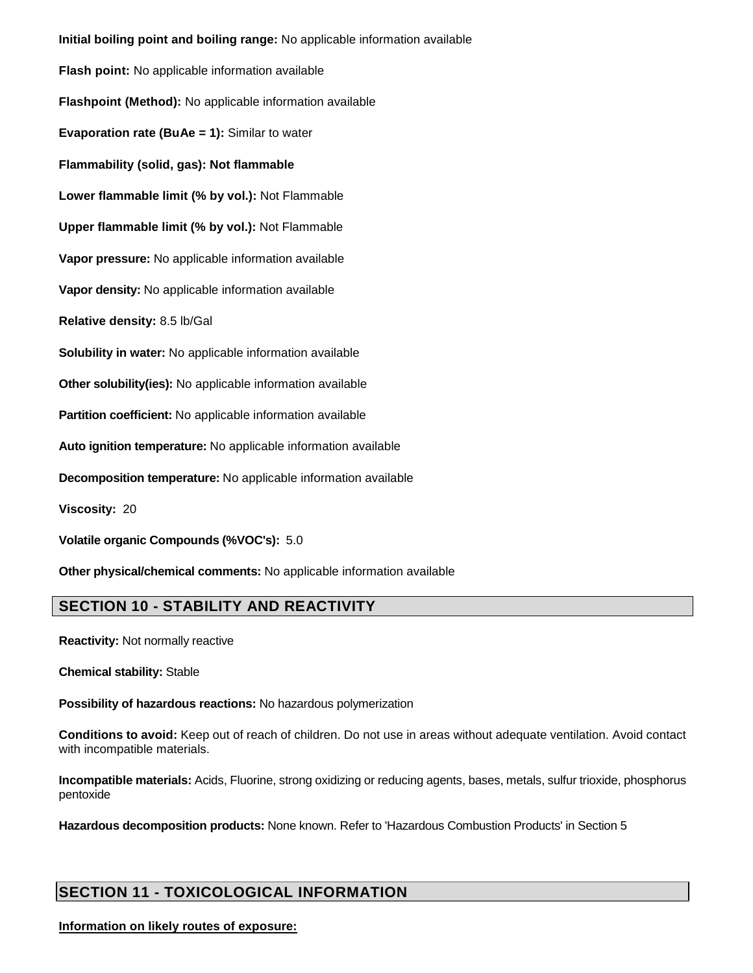**Initial boiling point and boiling range:** No applicable information available **Flash point:** No applicable information available **Flashpoint (Method):** No applicable information available **Evaporation rate (BuAe = 1):** Similar to water **Flammability (solid, gas): Not flammable Lower flammable limit (% by vol.):** Not Flammable **Upper flammable limit (% by vol.):** Not Flammable **Vapor pressure:** No applicable information available **Vapor density:** No applicable information available **Relative density:** 8.5 lb/Gal **Solubility in water:** No applicable information available **Other solubility(ies):** No applicable information available **Partition coefficient:** No applicable information available **Auto ignition temperature:** No applicable information available **Decomposition temperature:** No applicable information available **Viscosity:** 20 **Volatile organic Compounds (%VOC's):** 5.0 **Other physical/chemical comments:** No applicable information available

# **SECTION 10 - STABILITY AND REACTIVITY**

**Reactivity:** Not normally reactive

**Chemical stability:** Stable

**Possibility of hazardous reactions:** No hazardous polymerization

**Conditions to avoid:** Keep out of reach of children. Do not use in areas without adequate ventilation. Avoid contact with incompatible materials.

**Incompatible materials:** Acids, Fluorine, strong oxidizing or reducing agents, bases, metals, sulfur trioxide, phosphorus pentoxide

**Hazardous decomposition products:** None known. Refer to 'Hazardous Combustion Products' in Section 5

# **SECTION 11 - TOXICOLOGICAL INFORMATION**

#### **Information on likely routes of exposure:**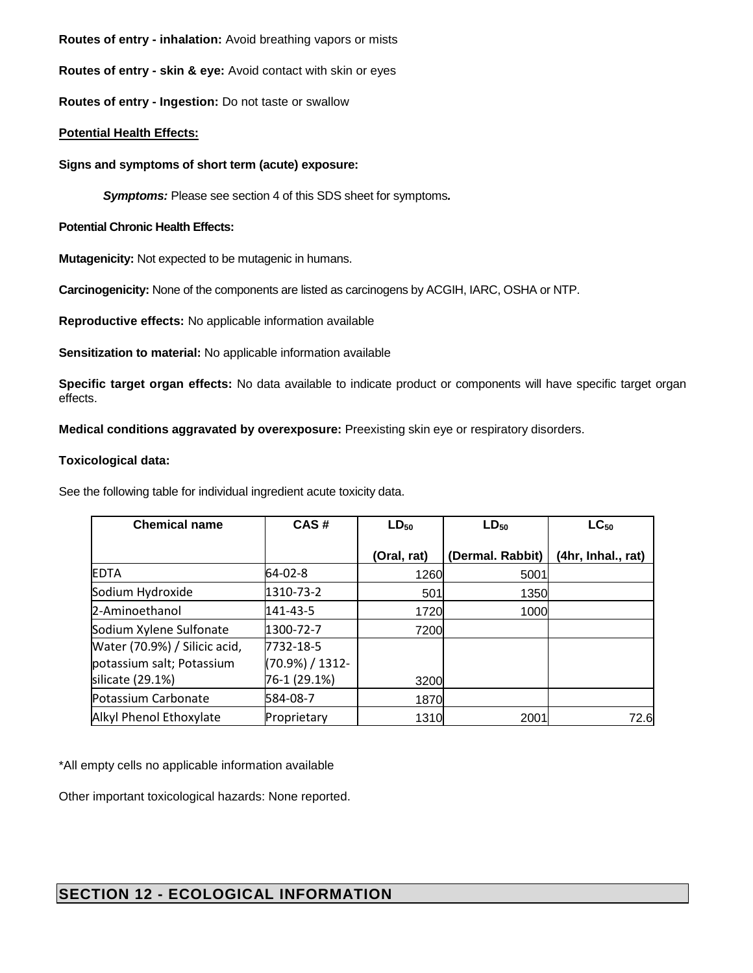**Routes of entry - inhalation:** Avoid breathing vapors or mists

**Routes of entry - skin & eye:** Avoid contact with skin or eyes

**Routes of entry - Ingestion:** Do not taste or swallow

#### **Potential Health Effects:**

#### **Signs and symptoms of short term (acute) exposure:**

**Symptoms:** Please see section 4 of this SDS sheet for symptoms**.**

#### **Potential Chronic Health Effects:**

**Mutagenicity:** Not expected to be mutagenic in humans.

**Carcinogenicity:** None of the components are listed as carcinogens by ACGIH, IARC, OSHA or NTP.

**Reproductive effects:** No applicable information available

**Sensitization to material:** No applicable information available

**Specific target organ effects:** No data available to indicate product or components will have specific target organ effects.

**Medical conditions aggravated by overexposure:** Preexisting skin eye or respiratory disorders.

#### **Toxicological data:**

See the following table for individual ingredient acute toxicity data.

| <b>Chemical name</b>          | CAS#            | $LD_{50}$   | $LD_{50}$        | $LC_{50}$          |
|-------------------------------|-----------------|-------------|------------------|--------------------|
|                               |                 | (Oral, rat) | (Dermal. Rabbit) | (4hr, Inhal., rat) |
| <b>EDTA</b>                   | 64-02-8         | 1260        | 5001             |                    |
| Sodium Hydroxide              | 1310-73-2       | 501         | 1350             |                    |
| 2-Aminoethanol                | 141-43-5        | 1720        | 1000             |                    |
| Sodium Xylene Sulfonate       | 1300-72-7       | 7200        |                  |                    |
| Water (70.9%) / Silicic acid, | 7732-18-5       |             |                  |                    |
| potassium salt; Potassium     | (70.9%) / 1312- |             |                  |                    |
| silicate (29.1%)              | 76-1 (29.1%)    | 3200        |                  |                    |
| Potassium Carbonate           | 584-08-7        | 1870        |                  |                    |
| Alkyl Phenol Ethoxylate       | Proprietary     | 1310        | 2001             | 72.6               |

\*All empty cells no applicable information available

Other important toxicological hazards: None reported.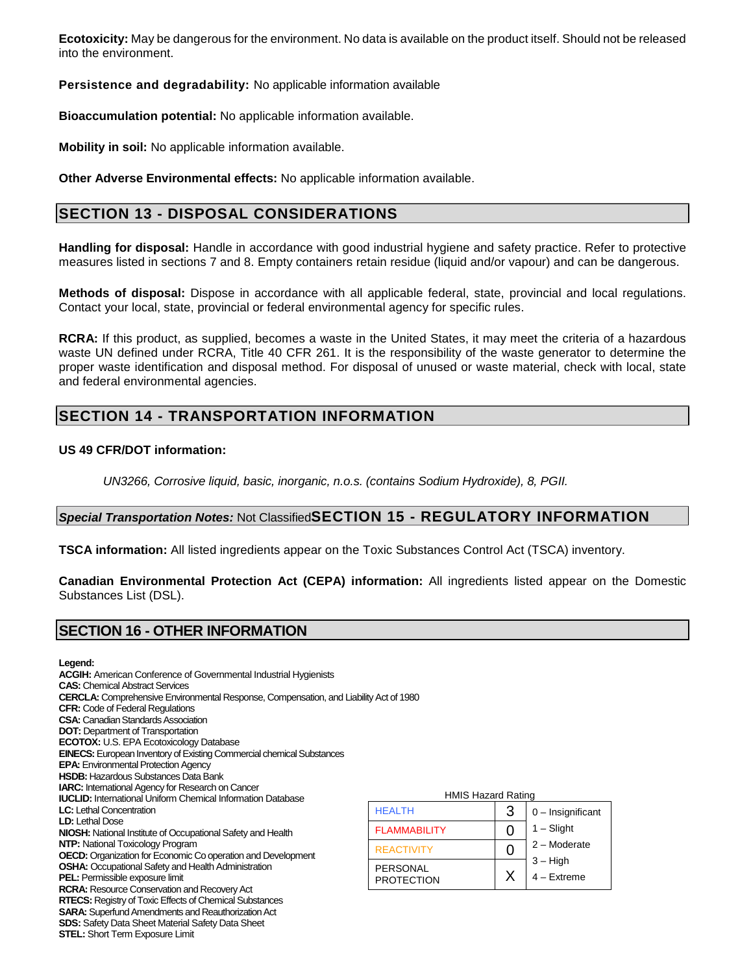**Ecotoxicity:** May be dangerous for the environment. No data is available on the product itself. Should not be released into the environment.

**Persistence and degradability:** No applicable information available

**Bioaccumulation potential:** No applicable information available.

**Mobility in soil:** No applicable information available.

**Other Adverse Environmental effects:** No applicable information available.

# **SECTION 13 - DISPOSAL CONSIDERATIONS**

**Handling for disposal:** Handle in accordance with good industrial hygiene and safety practice. Refer to protective measures listed in sections 7 and 8. Empty containers retain residue (liquid and/or vapour) and can be dangerous.

**Methods of disposal:** Dispose in accordance with all applicable federal, state, provincial and local regulations. Contact your local, state, provincial or federal environmental agency for specific rules.

**RCRA:** If this product, as supplied, becomes a waste in the United States, it may meet the criteria of a hazardous waste UN defined under RCRA, Title 40 CFR 261. It is the responsibility of the waste generator to determine the proper waste identification and disposal method. For disposal of unused or waste material, check with local, state and federal environmental agencies.

# **SECTION 14 - TRANSPORTATION INFORMATION**

#### **US 49 CFR/DOT information:**

UN3266, Corrosive liquid, basic, inorganic, n.o.s. (contains Sodium Hydroxide), 8, PGII.

### **Special Transportation Notes:** Not Classified**SECTION 15 - REGULATORY INFORMATION**

**TSCA information:** All listed ingredients appear on the Toxic Substances Control Act (TSCA) inventory.

**Canadian Environmental Protection Act (CEPA) information:** All ingredients listed appear on the Domestic Substances List (DSL).

### **SECTION 16 - OTHER INFORMATION**

**Legend:** 

| <b>ACGIH:</b> American Conference of Governmental Industrial Hygienists                      |                     |
|----------------------------------------------------------------------------------------------|---------------------|
| <b>CAS:</b> Chemical Abstract Services                                                       |                     |
| <b>CERCLA:</b> Comprehensive Environmental Response, Compensation, and Liability Act of 1980 |                     |
| <b>CFR:</b> Code of Federal Regulations                                                      |                     |
| <b>CSA:</b> Canadian Standards Association                                                   |                     |
| <b>DOT:</b> Department of Transportation                                                     |                     |
| <b>ECOTOX:</b> U.S. EPA Ecotoxicology Database                                               |                     |
| <b>EINECS:</b> European Inventory of Existing Commercial chemical Substances                 |                     |
| <b>EPA:</b> Environmental Protection Agency                                                  |                     |
| <b>HSDB:</b> Hazardous Substances Data Bank                                                  |                     |
| <b>IARC:</b> International Agency for Research on Cancer                                     |                     |
| <b>IUCLID:</b> International Uniform Chemical Information Database                           | <b>HMI</b>          |
| <b>LC:</b> Lethal Concentration                                                              | <b>HEALTH</b>       |
| <b>LD:</b> Lethal Dose                                                                       |                     |
| <b>NIOSH:</b> National Institute of Occupational Safety and Health                           | <b>FLAMMABILITY</b> |
| <b>NTP:</b> National Toxicology Program                                                      | <b>REACTIVITY</b>   |
| <b>OECD:</b> Organization for Economic Co operation and Development                          |                     |
| <b>OSHA:</b> Occupational Safety and Health Administration                                   | <b>PERSONAL</b>     |
| <b>PEL:</b> Permissible exposure limit                                                       | <b>PROTECTION</b>   |
| RCRA: Resource Conservation and Recovery Act                                                 |                     |
| <b>RTECS:</b> Registry of Toxic Effects of Chemical Substances                               |                     |
| <b>SARA:</b> Superfund Amendments and Reauthorization Act                                    |                     |
| <b>SDS:</b> Safety Data Sheet Material Safety Data Sheet                                     |                     |
| <b>STEL:</b> Short Term Exposure Limit                                                       |                     |

| <b>HMIS Hazard Rating</b>            |   |                             |  |
|--------------------------------------|---|-----------------------------|--|
| <b>HEALTH</b>                        | 3 | $0$ – Insignificant         |  |
| <b>FLAMMABILITY</b>                  | O | $1 -$ Slight                |  |
| <b>REACTIVITY</b>                    | 0 | 2 - Moderate                |  |
| <b>PERSONAL</b><br><b>PROTECTION</b> | X | $3 - High$<br>$4 -$ Extreme |  |